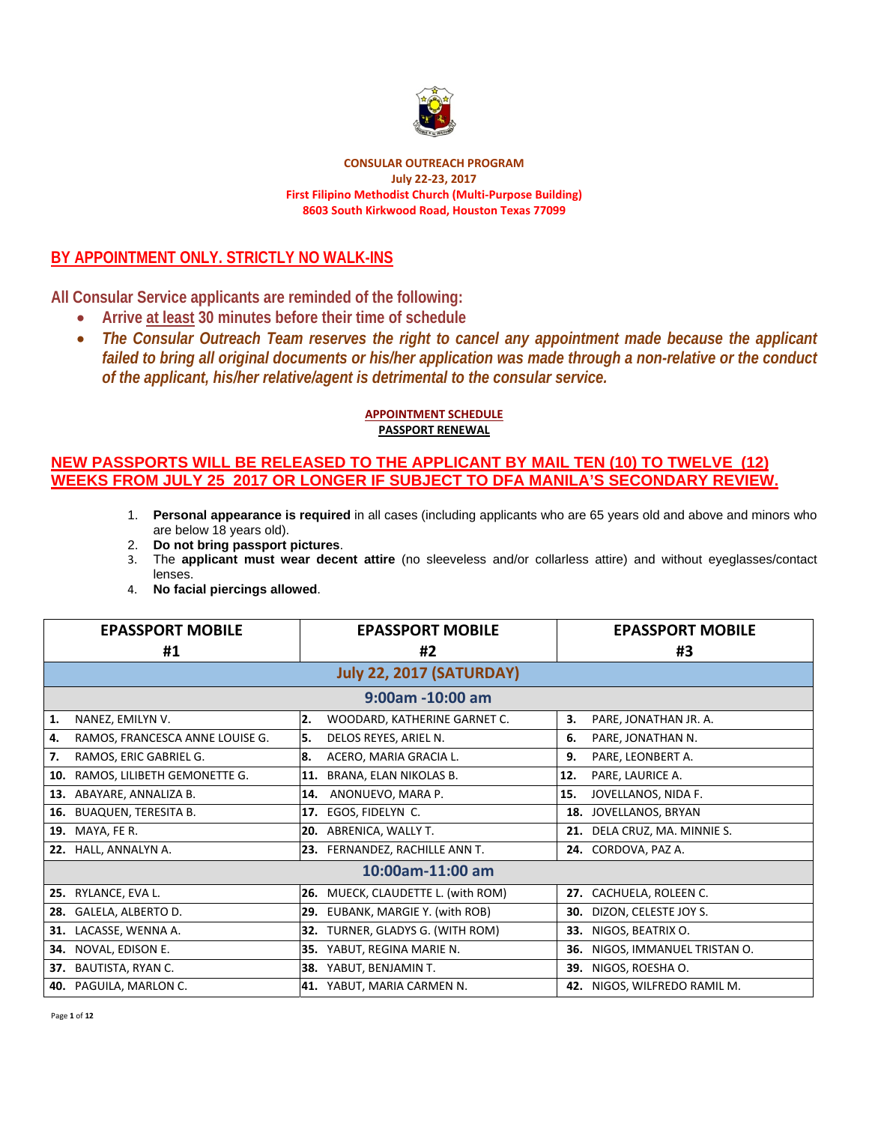

**CONSULAR OUTREACH PROGRAM July 22‐23, 2017 First Filipino Methodist Church (Multi‐Purpose Building) 8603 South Kirkwood Road, Houston Texas 77099**

# **BY APPOINTMENT ONLY. STRICTLY NO WALK-INS**

**All Consular Service applicants are reminded of the following:** 

- **Arrive at least 30 minutes before their time of schedule**
- *The Consular Outreach Team reserves the right to cancel any appointment made because the applicant failed to bring all original documents or his/her application was made through a non-relative or the conduct of the applicant, his/her relative/agent is detrimental to the consular service.*

#### **APPOINTMENT SCHEDULE PASSPORT RENEWAL**

- 1. **Personal appearance is required** in all cases (including applicants who are 65 years old and above and minors who are below 18 years old).
- 2. **Do not bring passport pictures**.
- 3. The **applicant must wear decent attire** (no sleeveless and/or collarless attire) and without eyeglasses/contact lenses.
- 4. **No facial piercings allowed**.

|     | <b>EPASSPORT MOBILE</b>         |     | <b>EPASSPORT MOBILE</b>            |     | <b>EPASSPORT MOBILE</b>      |
|-----|---------------------------------|-----|------------------------------------|-----|------------------------------|
|     | #1                              |     | #2                                 |     | #3                           |
|     |                                 |     | <b>July 22, 2017 (SATURDAY)</b>    |     |                              |
|     |                                 |     | $9:00$ am -10:00 am                |     |                              |
| 1.  | NANEZ, EMILYN V.                | 2.  | WOODARD, KATHERINE GARNET C.       | 3.  | PARE, JONATHAN JR. A.        |
| 4.  | RAMOS, FRANCESCA ANNE LOUISE G. | 5.  | DELOS REYES, ARIEL N.              | 6.  | PARE, JONATHAN N.            |
| 7.  | RAMOS, ERIC GABRIEL G.          | 8.  | ACERO, MARIA GRACIA L.             | 9.  | PARE, LEONBERT A.            |
| 10. | RAMOS, LILIBETH GEMONETTE G.    | 11. | BRANA, ELAN NIKOLAS B.             | 12. | PARE, LAURICE A.             |
| 13. | ABAYARE, ANNALIZA B.            |     | 14. ANONUEVO, MARA P.              | 15. | JOVELLANOS, NIDA F.          |
| 16. | <b>BUAQUEN, TERESITA B.</b>     |     | 17. EGOS, FIDELYN C.               | 18. | JOVELLANOS, BRYAN            |
|     | <b>19. MAYA, FE R.</b>          |     | 20. ABRENICA, WALLY T.             |     | 21. DELA CRUZ, MA. MINNIE S. |
|     | 22. HALL, ANNALYN A.            |     | 23. FERNANDEZ, RACHILLE ANN T.     |     | 24. CORDOVA, PAZ A.          |
|     | 10:00am-11:00 am                |     |                                    |     |                              |
|     | 25. RYLANCE, EVA L.             |     | 26. MUECK, CLAUDETTE L. (with ROM) |     | 27. CACHUELA, ROLEEN C.      |
| 28. | GALELA, ALBERTO D.              |     | 29. EUBANK, MARGIE Y. (with ROB)   | 30. | DIZON, CELESTE JOY S.        |
| 31. | LACASSE, WENNA A.               |     | 32. TURNER, GLADYS G. (WITH ROM)   | 33. | NIGOS, BEATRIX O.            |
|     | 34. NOVAL, EDISON E.            |     | 35. YABUT, REGINA MARIE N.         | 36. | NIGOS, IMMANUEL TRISTAN O.   |
|     | 37. BAUTISTA, RYAN C.           |     | 38. YABUT, BENJAMIN T.             | 39. | NIGOS, ROESHA O.             |
|     | 40. PAGUILA, MARLON C.          |     | 41. YABUT, MARIA CARMEN N.         |     | 42. NIGOS, WILFREDO RAMIL M. |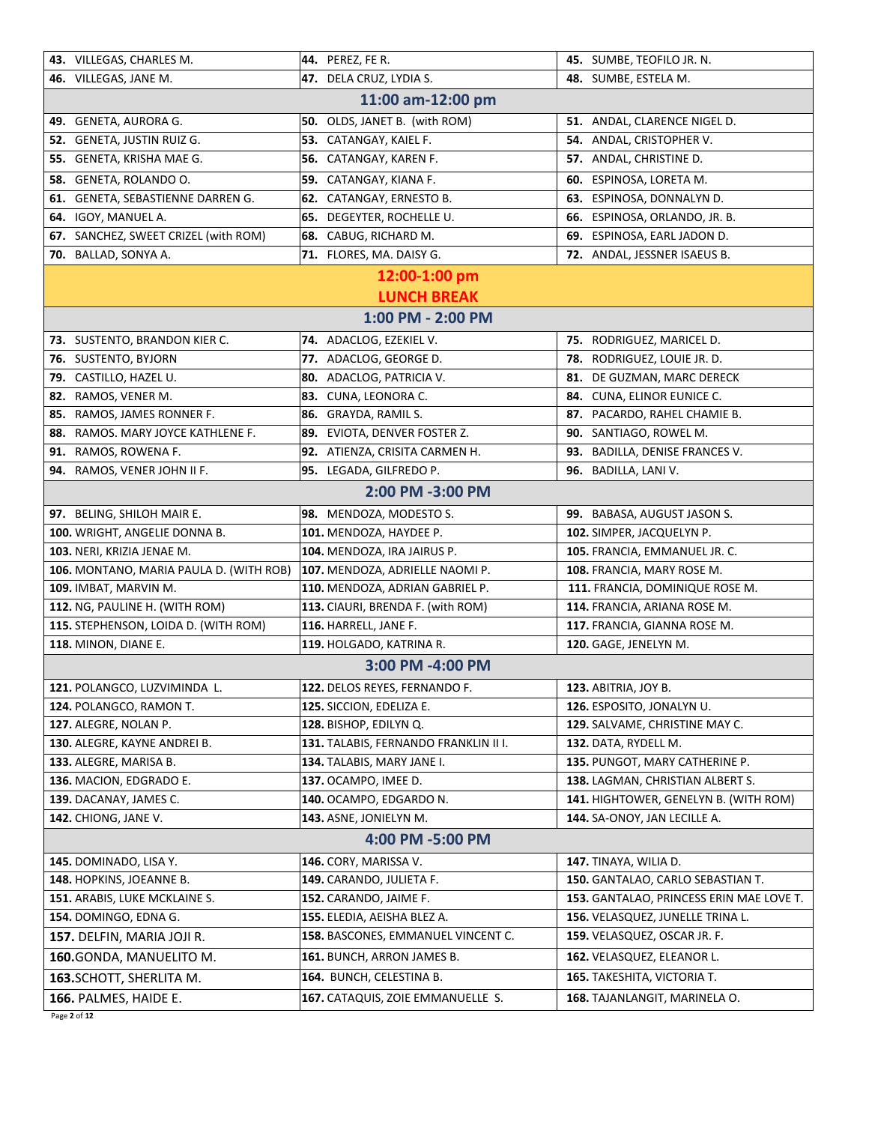|                          | 43. VILLEGAS, CHARLES M.                | 44. PEREZ, FE R.                          | 45. SUMBE, TEOFILO JR. N.                |  |  |
|--------------------------|-----------------------------------------|-------------------------------------------|------------------------------------------|--|--|
|                          | 46. VILLEGAS, JANE M.                   | 47. DELA CRUZ, LYDIA S.                   | 48. SUMBE, ESTELA M.                     |  |  |
|                          | 11:00 am-12:00 pm                       |                                           |                                          |  |  |
|                          | 49. GENETA, AURORA G.                   | 50. OLDS, JANET B. (with ROM)             | 51. ANDAL, CLARENCE NIGEL D.             |  |  |
|                          | 52. GENETA, JUSTIN RUIZ G.              | 53. CATANGAY, KAIEL F.                    | 54. ANDAL, CRISTOPHER V.                 |  |  |
| 55.                      | GENETA, KRISHA MAE G.                   | 56. CATANGAY, KAREN F.                    | 57. ANDAL, CHRISTINE D.                  |  |  |
| 58.                      | GENETA, ROLANDO O.                      | 59.<br>CATANGAY, KIANA F.                 | <b>60.</b> ESPINOSA, LORETA M.           |  |  |
| 61.                      | GENETA, SEBASTIENNE DARREN G.           | CATANGAY, ERNESTO B.<br>62.               | 63. ESPINOSA, DONNALYN D.                |  |  |
|                          | 64. IGOY, MANUEL A.                     | DEGEYTER, ROCHELLE U.<br>65.              | ESPINOSA, ORLANDO, JR. B.<br>66.         |  |  |
|                          | 67. SANCHEZ, SWEET CRIZEL (with ROM)    | CABUG, RICHARD M.<br>68.                  | 69. ESPINOSA, EARL JADON D.              |  |  |
|                          | 70. BALLAD, SONYA A.                    | 71. FLORES, MA. DAISY G.                  | 72. ANDAL, JESSNER ISAEUS B.             |  |  |
|                          |                                         | 12:00-1:00 pm                             |                                          |  |  |
|                          |                                         | <b>LUNCH BREAK</b>                        |                                          |  |  |
|                          |                                         | 1:00 PM - 2:00 PM                         |                                          |  |  |
|                          | 73. SUSTENTO, BRANDON KIER C.           | 74. ADACLOG, EZEKIEL V.                   | 75. RODRIGUEZ, MARICEL D.                |  |  |
|                          | 76. SUSTENTO, BYJORN                    | 77. ADACLOG, GEORGE D.                    | 78. RODRIGUEZ, LOUIE JR. D.              |  |  |
|                          | 79. CASTILLO, HAZEL U.                  | 80. ADACLOG, PATRICIA V.                  | 81. DE GUZMAN, MARC DERECK               |  |  |
|                          | 82. RAMOS, VENER M.                     | 83. CUNA, LEONORA C.                      | 84. CUNA, ELINOR EUNICE C.               |  |  |
| 85.                      | RAMOS, JAMES RONNER F.                  | 86. GRAYDA, RAMIL S.                      | 87. PACARDO, RAHEL CHAMIE B.             |  |  |
|                          | 88. RAMOS. MARY JOYCE KATHLENE F.       | 89. EVIOTA, DENVER FOSTER Z.              | 90. SANTIAGO, ROWEL M.                   |  |  |
|                          | 91. RAMOS, ROWENA F.                    | 92. ATIENZA, CRISITA CARMEN H.            | 93. BADILLA, DENISE FRANCES V.           |  |  |
| 94.                      | RAMOS, VENER JOHN II F.                 | 95. LEGADA, GILFREDO P.                   | 96. BADILLA, LANI V.                     |  |  |
|                          |                                         | 2:00 PM -3:00 PM                          |                                          |  |  |
|                          | 97. BELING, SHILOH MAIR E.              | 98. MENDOZA, MODESTO S.                   | 99. BABASA, AUGUST JASON S.              |  |  |
|                          | 100. WRIGHT, ANGELIE DONNA B.           | 101. MENDOZA, HAYDEE P.                   | 102. SIMPER, JACQUELYN P.                |  |  |
|                          | 103. NERI, KRIZIA JENAE M.              | 104. MENDOZA, IRA JAIRUS P.               | 105. FRANCIA, EMMANUEL JR. C.            |  |  |
|                          | 106. MONTANO, MARIA PAULA D. (WITH ROB) | 107. MENDOZA, ADRIELLE NAOMI P.           | 108. FRANCIA, MARY ROSE M.               |  |  |
|                          | 109. IMBAT, MARVIN M.                   | 110. MENDOZA, ADRIAN GABRIEL P.           | 111. FRANCIA, DOMINIQUE ROSE M.          |  |  |
|                          | 112. NG, PAULINE H. (WITH ROM)          | 113. CIAURI, BRENDA F. (with ROM)         | 114. FRANCIA, ARIANA ROSE M.             |  |  |
|                          | 115. STEPHENSON, LOIDA D. (WITH ROM)    | 116. HARRELL, JANE F.                     | 117. FRANCIA, GIANNA ROSE M.             |  |  |
|                          | 118. MINON, DIANE E.                    | 119. HOLGADO, KATRINA R.                  | 120. GAGE, JENELYN M.                    |  |  |
|                          |                                         | 3:00 PM -4:00 PM                          |                                          |  |  |
|                          | 121. POLANGCO, LUZVIMINDA L.            | 122. DELOS REYES, FERNANDO F.             | 123. ABITRIA, JOY B.                     |  |  |
|                          | 124. POLANGCO, RAMON T.                 | 125. SICCION, EDELIZA E.                  | <b>126.</b> ESPOSITO, JONALYN U.         |  |  |
|                          | 127. ALEGRE, NOLAN P.                   | 128. BISHOP, EDILYN Q.                    | 129. SALVAME, CHRISTINE MAY C.           |  |  |
|                          | 130. ALEGRE, KAYNE ANDREI B.            | 131. TALABIS, FERNANDO FRANKLIN II I.     | 132. DATA, RYDELL M.                     |  |  |
|                          | 133. ALEGRE, MARISA B.                  | 134. TALABIS, MARY JANE I.                | 135. PUNGOT, MARY CATHERINE P.           |  |  |
|                          | 136. MACION, EDGRADO E.                 | 137. OCAMPO, IMEE D.                      | 138. LAGMAN, CHRISTIAN ALBERT S.         |  |  |
|                          | 139. DACANAY, JAMES C.                  | <b>140.</b> OCAMPO, EDGARDO N.            | 141. HIGHTOWER, GENELYN B. (WITH ROM)    |  |  |
|                          | 142. CHIONG, JANE V.                    | 143. ASNE, JONIELYN M.                    | 144. SA-ONOY, JAN LECILLE A.             |  |  |
| 4:00 PM -5:00 PM         |                                         |                                           |                                          |  |  |
|                          | 145. DOMINADO, LISA Y.                  | 146. CORY, MARISSA V.                     | 147. TINAYA, WILIA D.                    |  |  |
|                          | 148. HOPKINS, JOEANNE B.                | 149. CARANDO, JULIETA F.                  | 150. GANTALAO, CARLO SEBASTIAN T.        |  |  |
|                          | 151. ARABIS, LUKE MCKLAINE S.           | 152. CARANDO, JAIME F.                    | 153. GANTALAO, PRINCESS ERIN MAE LOVE T. |  |  |
|                          | 154. DOMINGO, EDNA G.                   | 155. ELEDIA, AEISHA BLEZ A.               | 156. VELASQUEZ, JUNELLE TRINA L.         |  |  |
|                          | 157. DELFIN, MARIA JOJI R.              | <b>158. BASCONES, EMMANUEL VINCENT C.</b> | 159. VELASQUEZ, OSCAR JR. F.             |  |  |
| 160.GONDA, MANUELITO M.  |                                         | <b>161.</b> BUNCH, ARRON JAMES B.         | <b>162.</b> VELASQUEZ, ELEANOR L.        |  |  |
| 163. SCHOTT, SHERLITA M. |                                         | 164. BUNCH, CELESTINA B.                  | <b>165.</b> TAKESHITA, VICTORIA T.       |  |  |
|                          | 166. PALMES, HAIDE E.                   | <b>167.</b> CATAQUIS, ZOIE EMMANUELLE S.  | 168. TAJANLANGIT, MARINELA O.            |  |  |
|                          | Page 2 of 12                            |                                           |                                          |  |  |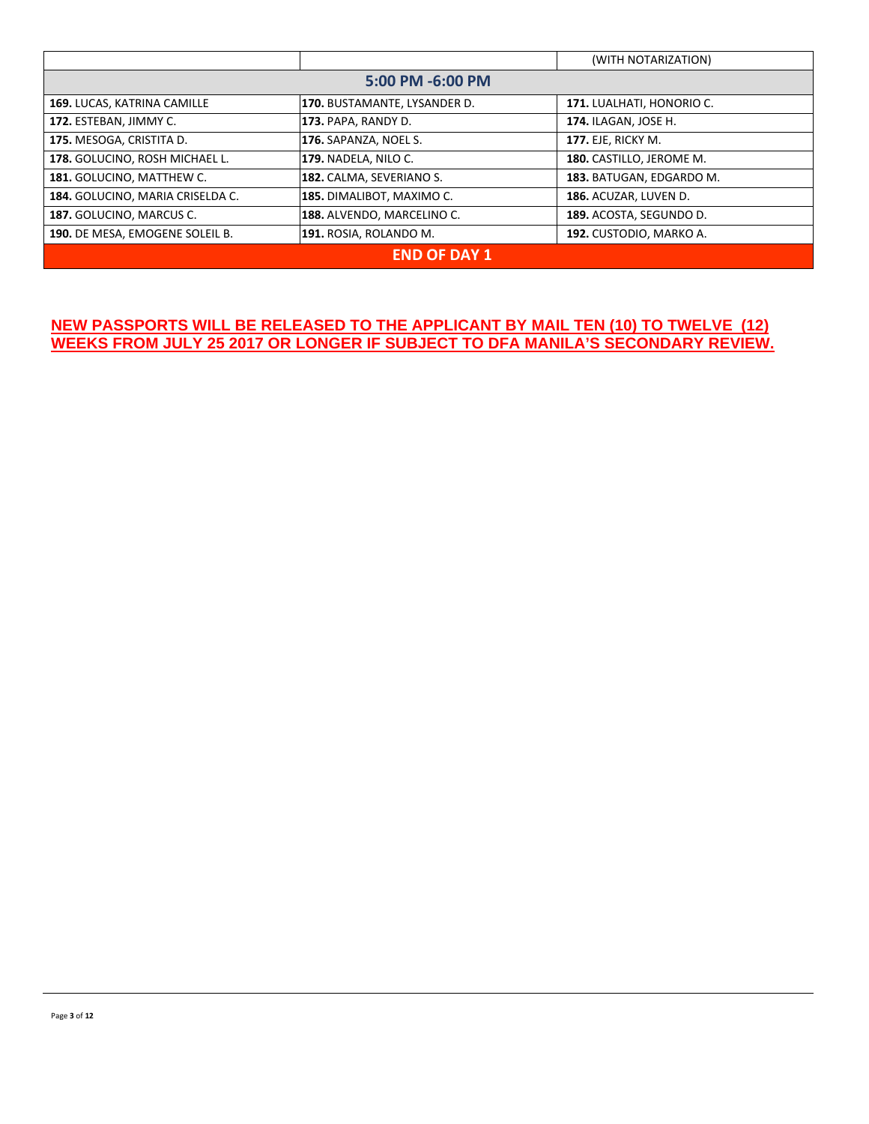|                                  |                              | (WITH NOTARIZATION)         |  |
|----------------------------------|------------------------------|-----------------------------|--|
| 5:00 PM -6:00 PM                 |                              |                             |  |
| 169. LUCAS, KATRINA CAMILLE      | 170. BUSTAMANTE, LYSANDER D. | 171. LUALHATI, HONORIO C.   |  |
| 172. ESTEBAN, JIMMY C.           | 173. PAPA, RANDY D.          | <b>174. ILAGAN, JOSE H.</b> |  |
| 175. MESOGA, CRISTITA D.         | 176. SAPANZA, NOEL S.        | <b>177. EJE, RICKY M.</b>   |  |
| 178. GOLUCINO, ROSH MICHAEL L.   | 179. NADELA, NILO C.         | 180. CASTILLO, JEROME M.    |  |
| 181. GOLUCINO, MATTHEW C.        | 182. CALMA, SEVERIANO S.     | 183. BATUGAN, EDGARDO M.    |  |
| 184. GOLUCINO, MARIA CRISELDA C. | 185. DIMALIBOT, MAXIMO C.    | 186. ACUZAR, LUVEN D.       |  |
| 187. GOLUCINO, MARCUS C.         | 188. ALVENDO, MARCELINO C.   | 189. ACOSTA, SEGUNDO D.     |  |
| 190. DE MESA, EMOGENE SOLEIL B.  | 191. ROSIA, ROLANDO M.       | 192. CUSTODIO, MARKO A.     |  |
| <b>END OF DAY 1</b>              |                              |                             |  |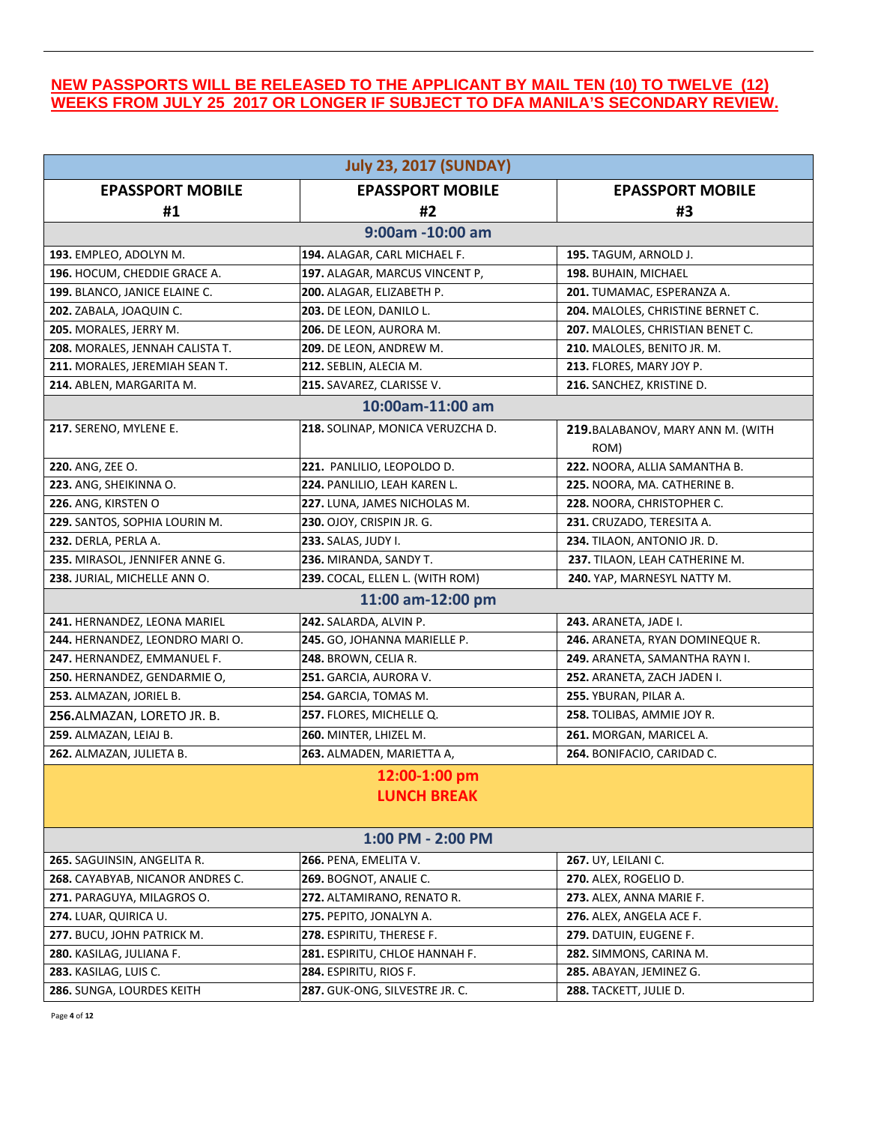| <b>July 23, 2017 (SUNDAY)</b>    |                                  |                                   |  |
|----------------------------------|----------------------------------|-----------------------------------|--|
| <b>EPASSPORT MOBILE</b>          | <b>EPASSPORT MOBILE</b>          | <b>EPASSPORT MOBILE</b>           |  |
| #1                               | #2                               | #3                                |  |
|                                  | 9:00am -10:00 am                 |                                   |  |
| 193. EMPLEO, ADOLYN M.           | 194. ALAGAR, CARL MICHAEL F.     | 195. TAGUM, ARNOLD J.             |  |
| 196. HOCUM, CHEDDIE GRACE A.     | 197. ALAGAR, MARCUS VINCENT P,   | 198. BUHAIN, MICHAEL              |  |
| 199. BLANCO, JANICE ELAINE C.    | 200. ALAGAR, ELIZABETH P.        | 201. TUMAMAC, ESPERANZA A.        |  |
| 202. ZABALA, JOAQUIN C.          | 203. DE LEON, DANILO L.          | 204. MALOLES, CHRISTINE BERNET C. |  |
| 205. MORALES, JERRY M.           | 206. DE LEON, AURORA M.          | 207. MALOLES, CHRISTIAN BENET C.  |  |
| 208. MORALES, JENNAH CALISTA T.  | 209. DE LEON, ANDREW M.          | 210. MALOLES, BENITO JR. M.       |  |
| 211. MORALES, JEREMIAH SEAN T.   | 212. SEBLIN, ALECIA M.           | 213. FLORES, MARY JOY P.          |  |
| 214. ABLEN, MARGARITA M.         | 215. SAVAREZ, CLARISSE V.        | 216. SANCHEZ, KRISTINE D.         |  |
|                                  | 10:00am-11:00 am                 |                                   |  |
| 217. SERENO, MYLENE E.           | 218. SOLINAP, MONICA VERUZCHA D. | 219. BALABANOV, MARY ANN M. (WITH |  |
|                                  |                                  | ROM)                              |  |
| 220. ANG, ZEE O.                 | 221. PANLILIO, LEOPOLDO D.       | 222. NOORA, ALLIA SAMANTHA B.     |  |
| 223. ANG, SHEIKINNA O.           | 224. PANLILIO, LEAH KAREN L.     | 225. NOORA, MA. CATHERINE B.      |  |
| 226. ANG, KIRSTEN O              | 227. LUNA, JAMES NICHOLAS M.     | 228. NOORA, CHRISTOPHER C.        |  |
| 229. SANTOS, SOPHIA LOURIN M.    | <b>230.</b> OJOY, CRISPIN JR. G. | 231. CRUZADO, TERESITA A.         |  |
| 232. DERLA, PERLA A.             | 233. SALAS, JUDY I.              | 234. TILAON, ANTONIO JR. D.       |  |
| 235. MIRASOL, JENNIFER ANNE G.   | 236. MIRANDA, SANDY T.           | 237. TILAON, LEAH CATHERINE M.    |  |
| 238. JURIAL, MICHELLE ANN O.     | 239. COCAL, ELLEN L. (WITH ROM)  | 240. YAP, MARNESYL NATTY M.       |  |
|                                  | 11:00 am-12:00 pm                |                                   |  |
| 241. HERNANDEZ, LEONA MARIEL     | 242. SALARDA, ALVIN P.           | 243. ARANETA, JADE I.             |  |
| 244. HERNANDEZ, LEONDRO MARIO.   | 245. GO, JOHANNA MARIELLE P.     | 246. ARANETA, RYAN DOMINEQUE R.   |  |
| 247. HERNANDEZ, EMMANUEL F.      | 248. BROWN, CELIA R.             | 249. ARANETA, SAMANTHA RAYN I.    |  |
| 250. HERNANDEZ, GENDARMIE O,     | 251. GARCIA, AURORA V.           | 252. ARANETA, ZACH JADEN I.       |  |
| 253. ALMAZAN, JORIEL B.          | 254. GARCIA, TOMAS M.            | 255. YBURAN, PILAR A.             |  |
| 256.ALMAZAN, LORETO JR. B.       | 257. FLORES, MICHELLE Q.         | 258. TOLIBAS, AMMIE JOY R.        |  |
| 259. ALMAZAN, LEIAJ B.           | 260. MINTER, LHIZEL M.           | 261. MORGAN, MARICEL A.           |  |
| 262. ALMAZAN, JULIETA B.         | 263. ALMADEN, MARIETTA A,        | 264. BONIFACIO, CARIDAD C.        |  |
|                                  | 12:00-1:00 pm                    |                                   |  |
|                                  | <b>LUNCH BREAK</b>               |                                   |  |
|                                  |                                  |                                   |  |
| 1:00 PM - 2:00 PM                |                                  |                                   |  |
| 265. SAGUINSIN, ANGELITA R.      | 266. PENA, EMELITA V.            | 267. UY, LEILANI C.               |  |
| 268. CAYABYAB, NICANOR ANDRES C. | 269. BOGNOT, ANALIE C.           | 270. ALEX, ROGELIO D.             |  |
| 271. PARAGUYA, MILAGROS O.       | 272. ALTAMIRANO, RENATO R.       | 273. ALEX, ANNA MARIE F.          |  |
| 274. LUAR, QUIRICA U.            | 275. PEPITO, JONALYN A.          | 276. ALEX, ANGELA ACE F.          |  |
| 277. BUCU, JOHN PATRICK M.       | 278. ESPIRITU, THERESE F.        | 279. DATUIN, EUGENE F.            |  |
| 280. KASILAG, JULIANA F.         | 281. ESPIRITU, CHLOE HANNAH F.   | 282. SIMMONS, CARINA M.           |  |
| 283. KASILAG, LUIS C.            | 284. ESPIRITU, RIOS F.           | 285. ABAYAN, JEMINEZ G.           |  |
| 286. SUNGA, LOURDES KEITH        | 287. GUK-ONG, SILVESTRE JR. C.   | 288. TACKETT, JULIE D.            |  |
|                                  |                                  |                                   |  |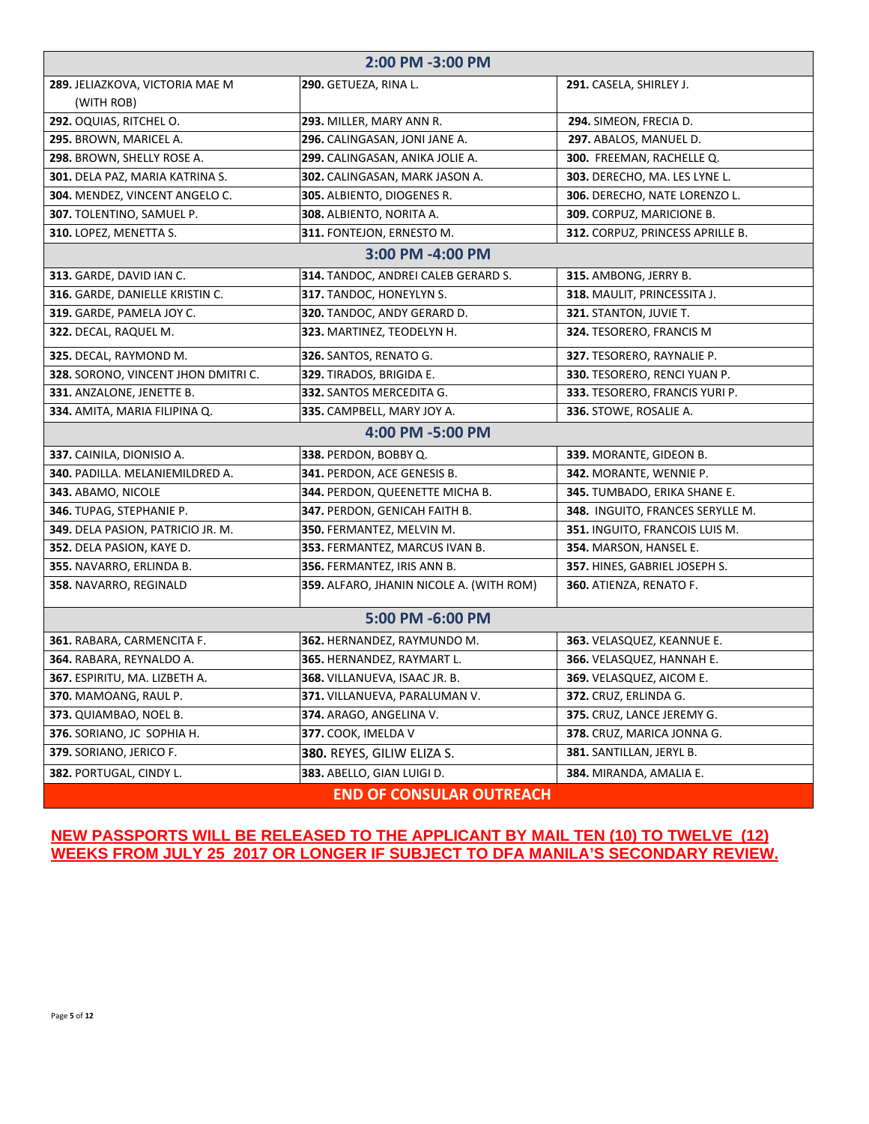| 2:00 PM -3:00 PM                       |                                          |                                  |  |
|----------------------------------------|------------------------------------------|----------------------------------|--|
| 289. JELIAZKOVA, VICTORIA MAE M        | 290. GETUEZA, RINA L.                    | 291. CASELA, SHIRLEY J.          |  |
| (WITH ROB)                             |                                          |                                  |  |
| 292. OQUIAS, RITCHEL O.                | 293. MILLER, MARY ANN R.                 | 294. SIMEON, FRECIA D.           |  |
| 295. BROWN, MARICEL A.                 | 296. CALINGASAN, JONI JANE A.            | 297. ABALOS, MANUEL D.           |  |
| 298. BROWN, SHELLY ROSE A.             | 299. CALINGASAN, ANIKA JOLIE A.          | 300. FREEMAN, RACHELLE Q.        |  |
| 301. DELA PAZ, MARIA KATRINA S.        | 302. CALINGASAN, MARK JASON A.           | 303. DERECHO, MA. LES LYNE L.    |  |
| 304. MENDEZ, VINCENT ANGELO C.         | 305. ALBIENTO, DIOGENES R.               | 306. DERECHO, NATE LORENZO L.    |  |
| 307. TOLENTINO, SAMUEL P.              | 308. ALBIENTO, NORITA A.                 | 309. CORPUZ, MARICIONE B.        |  |
| 310. LOPEZ, MENETTA S.                 | 311. FONTEJON, ERNESTO M.                | 312. CORPUZ, PRINCESS APRILLE B. |  |
|                                        | 3:00 PM -4:00 PM                         |                                  |  |
| 313. GARDE, DAVID IAN C.               | 314. TANDOC, ANDREI CALEB GERARD S.      | 315. AMBONG, JERRY B.            |  |
| 316. GARDE, DANIELLE KRISTIN C.        | 317. TANDOC, HONEYLYN S.                 | 318. MAULIT, PRINCESSITA J.      |  |
| 319. GARDE, PAMELA JOY C.              | 320. TANDOC, ANDY GERARD D.              | 321. STANTON, JUVIE T.           |  |
| <b>322.</b> DECAL, RAQUEL M.           | 323. MARTINEZ, TEODELYN H.               | 324. TESORERO, FRANCIS M         |  |
| 325. DECAL, RAYMOND M.                 | 326. SANTOS, RENATO G.                   | 327. TESORERO, RAYNALIE P.       |  |
| 328. SORONO, VINCENT JHON DMITRI C.    | 329. TIRADOS, BRIGIDA E.                 | 330. TESORERO, RENCI YUAN P.     |  |
| 331. ANZALONE, JENETTE B.              | 332. SANTOS MERCEDITA G.                 | 333. TESORERO, FRANCIS YURI P.   |  |
| 334. AMITA, MARIA FILIPINA Q.          | 335. CAMPBELL, MARY JOY A.               | 336. STOWE, ROSALIE A.           |  |
|                                        | 4:00 PM -5:00 PM                         |                                  |  |
| 337. CAINILA, DIONISIO A.              | 338. PERDON, BOBBY Q.                    | 339. MORANTE, GIDEON B.          |  |
| <b>340. PADILLA. MELANIEMILDRED A.</b> | 341. PERDON, ACE GENESIS B.              | 342. MORANTE, WENNIE P.          |  |
| 343. ABAMO, NICOLE                     | 344. PERDON, QUEENETTE MICHA B.          | 345. TUMBADO, ERIKA SHANE E.     |  |
| 346. TUPAG, STEPHANIE P.               | 347. PERDON, GENICAH FAITH B.            | 348. INGUITO, FRANCES SERYLLE M. |  |
| 349. DELA PASION, PATRICIO JR. M.      | 350. FERMANTEZ, MELVIN M.                | 351. INGUITO, FRANCOIS LUIS M.   |  |
| 352. DELA PASION, KAYE D.              | 353. FERMANTEZ, MARCUS IVAN B.           | 354. MARSON, HANSEL E.           |  |
| 355. NAVARRO, ERLINDA B.               | 356. FERMANTEZ, IRIS ANN B.              | 357. HINES, GABRIEL JOSEPH S.    |  |
| 358. NAVARRO, REGINALD                 | 359. ALFARO, JHANIN NICOLE A. (WITH ROM) | 360. ATIENZA, RENATO F.          |  |
| 5:00 PM -6:00 PM                       |                                          |                                  |  |
| 361. RABARA, CARMENCITA F.             | 362. HERNANDEZ, RAYMUNDO M.              | 363. VELASQUEZ, KEANNUE E.       |  |
| 364. RABARA, REYNALDO A.               | 365. HERNANDEZ, RAYMART L.               | 366. VELASQUEZ, HANNAH E.        |  |
| 367. ESPIRITU, MA. LIZBETH A.          | 368. VILLANUEVA, ISAAC JR. B.            | 369. VELASQUEZ, AICOM E.         |  |
| 370. MAMOANG, RAUL P.                  | 371. VILLANUEVA, PARALUMAN V.            | 372. CRUZ, ERLINDA G.            |  |
| 373. QUIAMBAO, NOEL B.                 | 374. ARAGO, ANGELINA V.                  | 375. CRUZ, LANCE JEREMY G.       |  |
| 376. SORIANO, JC SOPHIA H.             | 377. COOK, IMELDA V                      | 378. CRUZ, MARICA JONNA G.       |  |
| 379. SORIANO, JERICO F.                | <b>380.</b> REYES, GILIW ELIZA S.        | <b>381.</b> SANTILLAN, JERYL B.  |  |
| 382. PORTUGAL, CINDY L.                | 383. ABELLO, GIAN LUIGI D.               | 384. MIRANDA, AMALIA E.          |  |
| <b>END OF CONSULAR OUTREACH</b>        |                                          |                                  |  |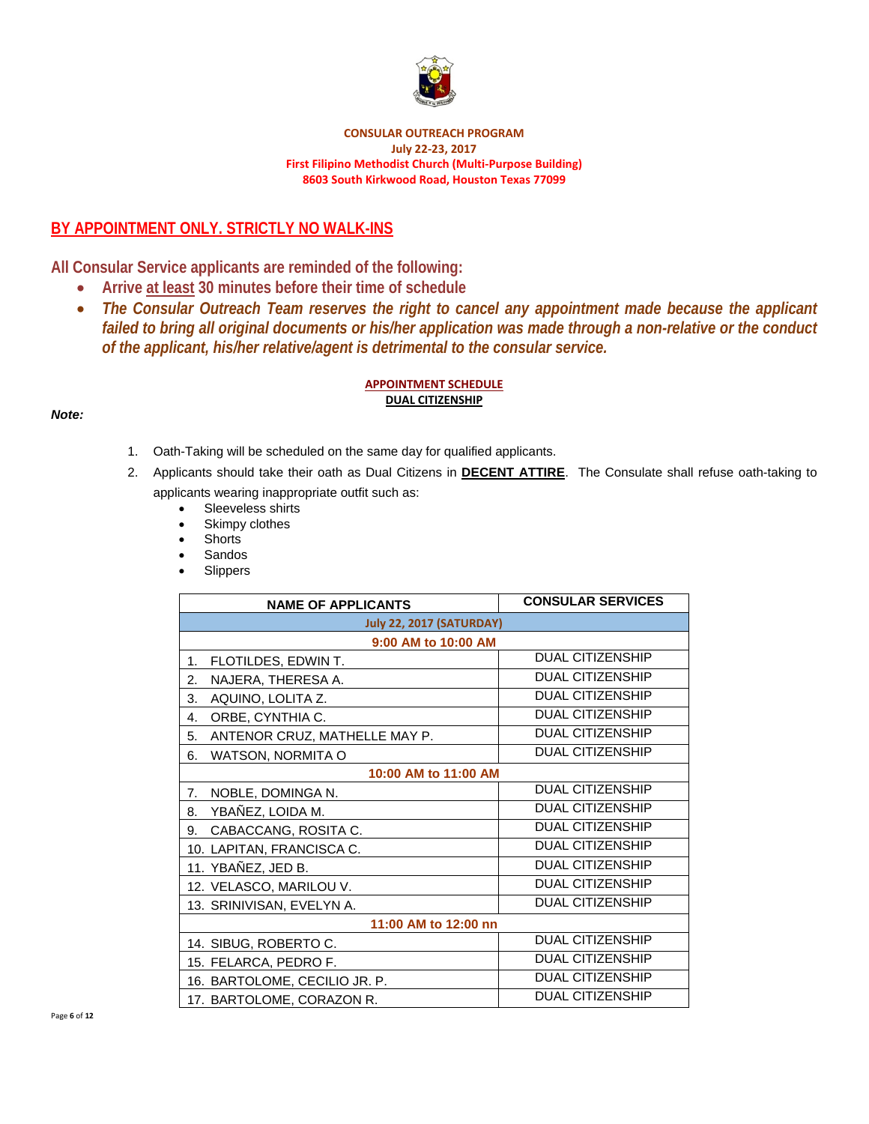

#### **CONSULAR OUTREACH PROGRAM July 22‐23, 2017 First Filipino Methodist Church (Multi‐Purpose Building) 8603 South Kirkwood Road, Houston Texas 77099**

## **BY APPOINTMENT ONLY. STRICTLY NO WALK-INS**

**All Consular Service applicants are reminded of the following:** 

- **Arrive at least 30 minutes before their time of schedule**
- *The Consular Outreach Team reserves the right to cancel any appointment made because the applicant failed to bring all original documents or his/her application was made through a non-relative or the conduct of the applicant, his/her relative/agent is detrimental to the consular service.*

### **APPOINTMENT SCHEDULE DUAL CITIZENSHIP**

### *Note:*

- 1. Oath-Taking will be scheduled on the same day for qualified applicants.
- 2. Applicants should take their oath as Dual Citizens in **DECENT ATTIRE**. The Consulate shall refuse oath-taking to applicants wearing inappropriate outfit such as:
	- Sleeveless shirts
	- Skimpy clothes
	- Shorts
	- Sandos
	- **Slippers**

| <b>NAME OF APPLICANTS</b>           | <b>CONSULAR SERVICES</b> |  |
|-------------------------------------|--------------------------|--|
| <b>July 22, 2017 (SATURDAY)</b>     |                          |  |
| 9:00 AM to 10:00 AM                 |                          |  |
| FLOTILDES, EDWIN T.<br>1.           | <b>DUAL CITIZENSHIP</b>  |  |
| NAJERA, THERESA A.<br>2.            | <b>DUAL CITIZENSHIP</b>  |  |
| AQUINO, LOLITA Z.<br>3.             | <b>DUAL CITIZENSHIP</b>  |  |
| ORBE, CYNTHIA C.<br>4.              | <b>DUAL CITIZENSHIP</b>  |  |
| ANTENOR CRUZ, MATHELLE MAY P.<br>5. | <b>DUAL CITIZENSHIP</b>  |  |
| WATSON, NORMITA O<br>6.             | <b>DUAL CITIZENSHIP</b>  |  |
| 10:00 AM to 11:00 AM                |                          |  |
| NOBLE, DOMINGA N.<br>7.             | <b>DUAL CITIZENSHIP</b>  |  |
| YBAÑEZ, LOIDA M.<br>8.              | <b>DUAL CITIZENSHIP</b>  |  |
| CABACCANG, ROSITA C.<br>9.          | <b>DUAL CITIZENSHIP</b>  |  |
| 10. LAPITAN, FRANCISCA C.           | <b>DUAL CITIZENSHIP</b>  |  |
| 11. YBAÑEZ, JED B.                  | <b>DUAL CITIZENSHIP</b>  |  |
| 12. VELASCO, MARILOU V.             | <b>DUAL CITIZENSHIP</b>  |  |
| 13. SRINIVISAN, EVELYN A.           | <b>DUAL CITIZENSHIP</b>  |  |
| 11:00 AM to 12:00 nn                |                          |  |
| 14. SIBUG, ROBERTO C.               | <b>DUAL CITIZENSHIP</b>  |  |
| 15. FELARCA, PEDRO F.               | <b>DUAL CITIZENSHIP</b>  |  |
| 16. BARTOLOME, CECILIO JR. P.       | <b>DUAL CITIZENSHIP</b>  |  |
| 17. BARTOLOME, CORAZON R.           | <b>DUAL CITIZENSHIP</b>  |  |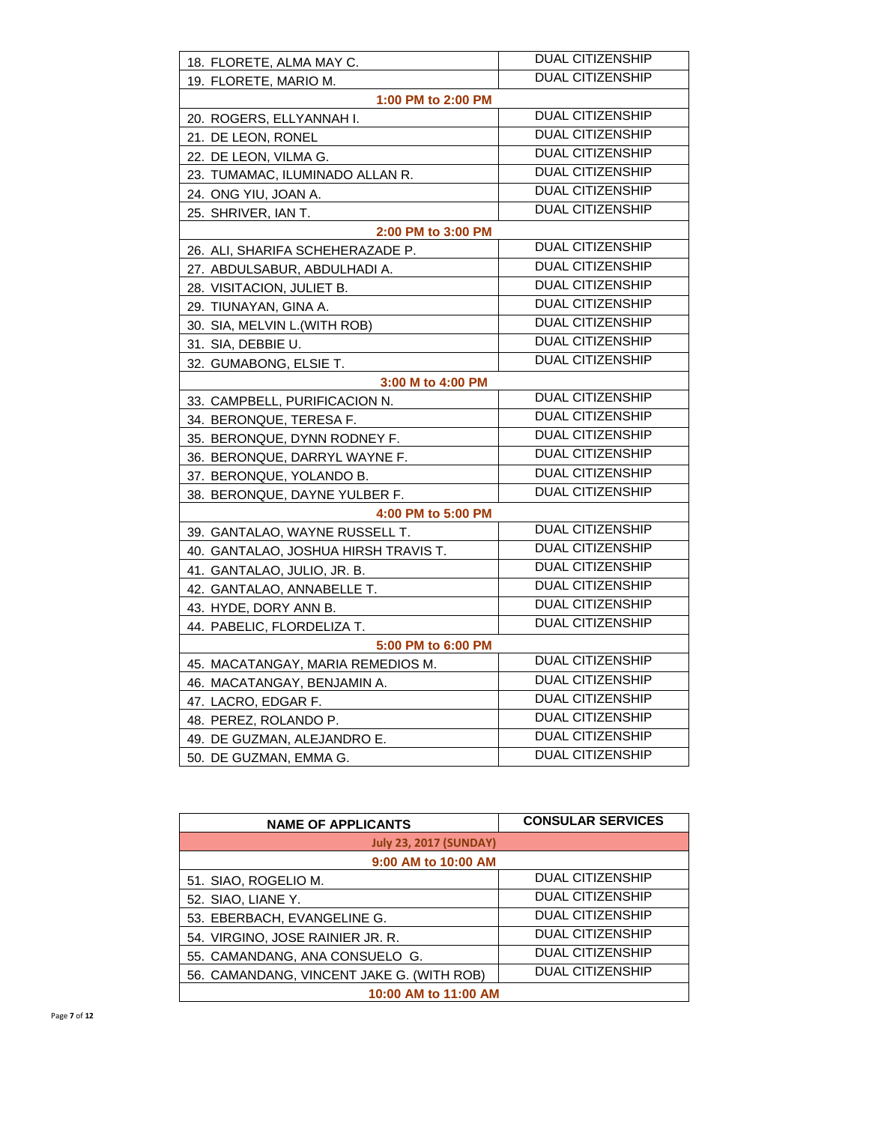| 18. FLORETE, ALMA MAY C.              | <b>DUAL CITIZENSHIP</b> |  |  |  |
|---------------------------------------|-------------------------|--|--|--|
| 19. FLORETE, MARIO M.                 | <b>DUAL CITIZENSHIP</b> |  |  |  |
| 1:00 PM to 2:00 PM                    |                         |  |  |  |
| 20. ROGERS, ELLYANNAH I.              | <b>DUAL CITIZENSHIP</b> |  |  |  |
| 21. DE LEON, RONEL                    | <b>DUAL CITIZENSHIP</b> |  |  |  |
| 22. DE LEON, VILMA G.                 | <b>DUAL CITIZENSHIP</b> |  |  |  |
| 23. TUMAMAC, ILUMINADO ALLAN R.       | <b>DUAL CITIZENSHIP</b> |  |  |  |
| 24. ONG YIU, JOAN A.                  | <b>DUAL CITIZENSHIP</b> |  |  |  |
| 25. SHRIVER, IAN T.                   | <b>DUAL CITIZENSHIP</b> |  |  |  |
| 2:00 PM to 3:00 PM                    |                         |  |  |  |
| 26. ALI, SHARIFA SCHEHERAZADE P.      | <b>DUAL CITIZENSHIP</b> |  |  |  |
| 27. ABDULSABUR, ABDULHADI A.          | <b>DUAL CITIZENSHIP</b> |  |  |  |
| 28. VISITACION, JULIET B.             | <b>DUAL CITIZENSHIP</b> |  |  |  |
| 29. TIUNAYAN, GINA A.                 | <b>DUAL CITIZENSHIP</b> |  |  |  |
| 30. SIA, MELVIN L. (WITH ROB)         | <b>DUAL CITIZENSHIP</b> |  |  |  |
| 31. SIA, DEBBIE U.                    | <b>DUAL CITIZENSHIP</b> |  |  |  |
| 32. GUMABONG, ELSIE T.                | <b>DUAL CITIZENSHIP</b> |  |  |  |
| 3:00 M to 4:00 PM                     |                         |  |  |  |
| 33. CAMPBELL, PURIFICACION N.         | <b>DUAL CITIZENSHIP</b> |  |  |  |
| 34. BERONQUE, TERESA F.               | <b>DUAL CITIZENSHIP</b> |  |  |  |
| 35. BERONQUE, DYNN RODNEY F.          | <b>DUAL CITIZENSHIP</b> |  |  |  |
| 36. BERONQUE, DARRYL WAYNE F.         | <b>DUAL CITIZENSHIP</b> |  |  |  |
| 37. BERONQUE, YOLANDO B.              | <b>DUAL CITIZENSHIP</b> |  |  |  |
| 38. BERONQUE, DAYNE YULBER F.         | <b>DUAL CITIZENSHIP</b> |  |  |  |
| 4:00 PM to 5:00 PM                    |                         |  |  |  |
| 39. GANTALAO, WAYNE RUSSELL T.        | <b>DUAL CITIZENSHIP</b> |  |  |  |
| 40.  GANTALAO, JOSHUA HIRSH TRAVIS T. | <b>DUAL CITIZENSHIP</b> |  |  |  |
| 41. GANTALAO, JULIO, JR. B.           | <b>DUAL CITIZENSHIP</b> |  |  |  |
| 42. GANTALAO, ANNABELLE T.            | <b>DUAL CITIZENSHIP</b> |  |  |  |
| 43. HYDE, DORY ANN B.                 | <b>DUAL CITIZENSHIP</b> |  |  |  |
| 44. PABELIC, FLORDELIZA T.            | <b>DUAL CITIZENSHIP</b> |  |  |  |
| 5:00 PM to 6:00 PM                    |                         |  |  |  |
| 45. MACATANGAY, MARIA REMEDIOS M.     | <b>DUAL CITIZENSHIP</b> |  |  |  |
| 46. MACATANGAY, BENJAMIN A.           | <b>DUAL CITIZENSHIP</b> |  |  |  |
| 47. LACRO, EDGAR F.                   | <b>DUAL CITIZENSHIP</b> |  |  |  |
| 48. PEREZ, ROLANDO P.                 | <b>DUAL CITIZENSHIP</b> |  |  |  |
| 49. DE GUZMAN, ALEJANDRO E.           | <b>DUAL CITIZENSHIP</b> |  |  |  |
| 50. DE GUZMAN, EMMA G.                | <b>DUAL CITIZENSHIP</b> |  |  |  |

| <b>NAME OF APPLICANTS</b>                 | <b>CONSULAR SERVICES</b> |  |
|-------------------------------------------|--------------------------|--|
| <b>July 23, 2017 (SUNDAY)</b>             |                          |  |
| 9:00 AM to 10:00 AM                       |                          |  |
| 51. SIAO, ROGELIO M.                      | <b>DUAL CITIZENSHIP</b>  |  |
| 52. SIAO, LIANE Y.                        | <b>DUAL CITIZENSHIP</b>  |  |
| 53. EBERBACH, EVANGELINE G.               | <b>DUAL CITIZENSHIP</b>  |  |
| 54. VIRGINO, JOSE RAINIER JR. R.          | <b>DUAL CITIZENSHIP</b>  |  |
| 55. CAMANDANG, ANA CONSUELO G.            | <b>DUAL CITIZENSHIP</b>  |  |
| 56. CAMANDANG, VINCENT JAKE G. (WITH ROB) | <b>DUAL CITIZENSHIP</b>  |  |
| 10:00 AM to 11:00 AM                      |                          |  |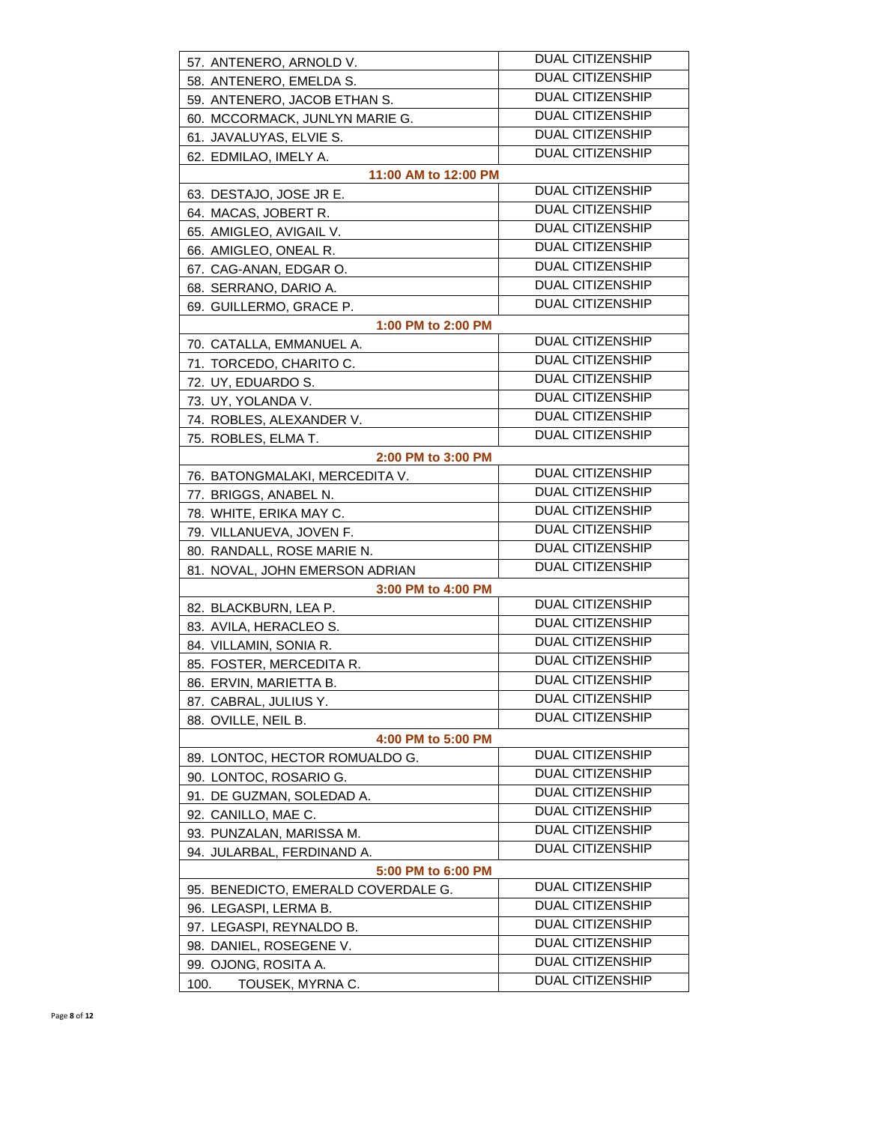| 57. ANTENERO, ARNOLD V.             | <b>DUAL CITIZENSHIP</b> |
|-------------------------------------|-------------------------|
| 58. ANTENERO, EMELDA S.             | <b>DUAL CITIZENSHIP</b> |
| 59. ANTENERO, JACOB ETHAN S.        | <b>DUAL CITIZENSHIP</b> |
| 60. MCCORMACK, JUNLYN MARIE G.      | <b>DUAL CITIZENSHIP</b> |
| 61. JAVALUYAS, ELVIE S.             | <b>DUAL CITIZENSHIP</b> |
| 62. EDMILAO, IMELY A.               | <b>DUAL CITIZENSHIP</b> |
| 11:00 AM to 12:00 PM                |                         |
| 63. DESTAJO, JOSE JR E.             | <b>DUAL CITIZENSHIP</b> |
| 64. MACAS, JOBERT R.                | <b>DUAL CITIZENSHIP</b> |
| 65. AMIGLEO, AVIGAIL V.             | <b>DUAL CITIZENSHIP</b> |
| 66. AMIGLEO, ONEAL R.               | <b>DUAL CITIZENSHIP</b> |
| 67. CAG-ANAN, EDGAR O.              | <b>DUAL CITIZENSHIP</b> |
| 68. SERRANO, DARIO A.               | <b>DUAL CITIZENSHIP</b> |
| 69. GUILLERMO, GRACE P.             | <b>DUAL CITIZENSHIP</b> |
| 1:00 PM to 2:00 PM                  |                         |
| 70. CATALLA, EMMANUEL A.            | <b>DUAL CITIZENSHIP</b> |
| 71. TORCEDO, CHARITO C.             | <b>DUAL CITIZENSHIP</b> |
| 72. UY, EDUARDO S.                  | <b>DUAL CITIZENSHIP</b> |
| 73. UY, YOLANDA V.                  | <b>DUAL CITIZENSHIP</b> |
| 74. ROBLES, ALEXANDER V.            | <b>DUAL CITIZENSHIP</b> |
| 75. ROBLES, ELMA T.                 | <b>DUAL CITIZENSHIP</b> |
| 2:00 PM to 3:00 PM                  |                         |
| 76. BATONGMALAKI, MERCEDITA V.      | <b>DUAL CITIZENSHIP</b> |
| 77. BRIGGS, ANABEL N.               | <b>DUAL CITIZENSHIP</b> |
|                                     | <b>DUAL CITIZENSHIP</b> |
| 78. WHITE, ERIKA MAY C.             | <b>DUAL CITIZENSHIP</b> |
| 79. VILLANUEVA, JOVEN F.            | <b>DUAL CITIZENSHIP</b> |
| 80. RANDALL, ROSE MARIE N.          | <b>DUAL CITIZENSHIP</b> |
| 81. NOVAL, JOHN EMERSON ADRIAN      |                         |
| 3:00 PM to 4:00 PM                  | <b>DUAL CITIZENSHIP</b> |
| 82. BLACKBURN, LEA P.               | <b>DUAL CITIZENSHIP</b> |
| 83. AVILA, HERACLEO S.              | <b>DUAL CITIZENSHIP</b> |
| 84. VILLAMIN, SONIA R.              | <b>DUAL CITIZENSHIP</b> |
| 85. FOSTER, MERCEDITA R.            | <b>DUAL CITIZENSHIP</b> |
| 86. ERVIN, MARIETTA B.              | <b>DUAL CITIZENSHIP</b> |
| 87. CABRAL, JULIUS Y.               | <b>DUAL CITIZENSHIP</b> |
| 88. OVILLE, NEIL B.                 |                         |
| 4:00 PM to 5:00 PM                  | <b>DUAL CITIZENSHIP</b> |
| 89. LONTOC, HECTOR ROMUALDO G.      | <b>DUAL CITIZENSHIP</b> |
| 90. LONTOC, ROSARIO G.              | <b>DUAL CITIZENSHIP</b> |
| 91. DE GUZMAN, SOLEDAD A.           |                         |
| 92. CANILLO, MAE C.                 | <b>DUAL CITIZENSHIP</b> |
| 93. PUNZALAN, MARISSA M.            | <b>DUAL CITIZENSHIP</b> |
| 94. JULARBAL, FERDINAND A.          | <b>DUAL CITIZENSHIP</b> |
| 5:00 PM to 6:00 PM                  |                         |
| 95. BENEDICTO, EMERALD COVERDALE G. | <b>DUAL CITIZENSHIP</b> |
| 96. LEGASPI, LERMA B.               | <b>DUAL CITIZENSHIP</b> |
| 97. LEGASPI, REYNALDO B.            | <b>DUAL CITIZENSHIP</b> |
| 98. DANIEL, ROSEGENE V.             | DUAL CITIZENSHIP        |
| 99. OJONG, ROSITA A.                | <b>DUAL CITIZENSHIP</b> |
| 100.<br>TOUSEK, MYRNA C.            | <b>DUAL CITIZENSHIP</b> |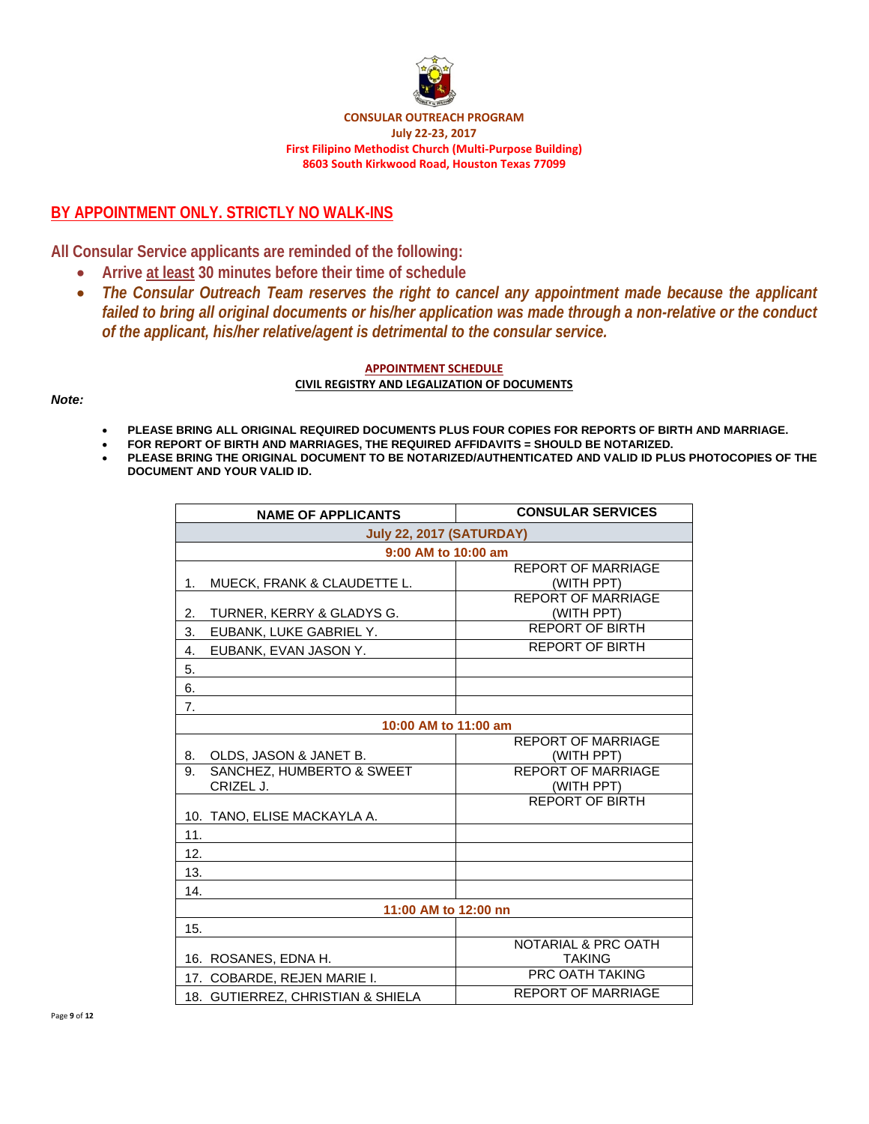

**CONSULAR OUTREACH PROGRAM July 22‐23, 2017 First Filipino Methodist Church (Multi‐Purpose Building) 8603 South Kirkwood Road, Houston Texas 77099**

## **BY APPOINTMENT ONLY. STRICTLY NO WALK-INS**

**All Consular Service applicants are reminded of the following:** 

- **Arrive at least 30 minutes before their time of schedule**
- *The Consular Outreach Team reserves the right to cancel any appointment made because the applicant failed to bring all original documents or his/her application was made through a non-relative or the conduct of the applicant, his/her relative/agent is detrimental to the consular service.*

#### **APPOINTMENT SCHEDULE CIVIL REGISTRY AND LEGALIZATION OF DOCUMENTS**

#### *Note:*

- **PLEASE BRING ALL ORIGINAL REQUIRED DOCUMENTS PLUS FOUR COPIES FOR REPORTS OF BIRTH AND MARRIAGE.**
- **FOR REPORT OF BIRTH AND MARRIAGES, THE REQUIRED AFFIDAVITS = SHOULD BE NOTARIZED.**
- **PLEASE BRING THE ORIGINAL DOCUMENT TO BE NOTARIZED/AUTHENTICATED AND VALID ID PLUS PHOTOCOPIES OF THE DOCUMENT AND YOUR VALID ID.**

| <b>NAME OF APPLICANTS</b>                    | <b>CONSULAR SERVICES</b>                |  |  |
|----------------------------------------------|-----------------------------------------|--|--|
| <b>July 22, 2017 (SATURDAY)</b>              |                                         |  |  |
| 9:00 AM to 10:00 am                          |                                         |  |  |
| MUECK, FRANK & CLAUDETTE L.<br>1.            | <b>REPORT OF MARRIAGE</b><br>(WITH PPT) |  |  |
| 2.<br>TURNER, KERRY & GLADYS G.              | <b>REPORT OF MARRIAGE</b><br>(WITH PPT) |  |  |
| 3.<br>EUBANK, LUKE GABRIEL Y.                | <b>REPORT OF BIRTH</b>                  |  |  |
| 4.<br>EUBANK, EVAN JASON Y.                  | <b>REPORT OF BIRTH</b>                  |  |  |
| 5.                                           |                                         |  |  |
| 6.                                           |                                         |  |  |
| 7.                                           |                                         |  |  |
| 10:00 AM to 11:00 am                         |                                         |  |  |
| 8.<br>OLDS, JASON & JANET B.                 | <b>REPORT OF MARRIAGE</b><br>(WITH PPT) |  |  |
| SANCHEZ, HUMBERTO & SWEET<br>9.<br>CRIZEL J. | <b>REPORT OF MARRIAGE</b><br>(WITH PPT) |  |  |
| 10. TANO, ELISE MACKAYLA A.                  | <b>REPORT OF BIRTH</b>                  |  |  |
| 11.                                          |                                         |  |  |
| 12.                                          |                                         |  |  |
| 13.                                          |                                         |  |  |
| 14.                                          |                                         |  |  |
| 11:00 AM to 12:00 nn                         |                                         |  |  |
| 15.                                          |                                         |  |  |
| 16. ROSANES, EDNA H.                         | NOTARIAL & PRC OATH<br><b>TAKING</b>    |  |  |
| 17. COBARDE, REJEN MARIE I.                  | PRC OATH TAKING                         |  |  |
| 18. GUTIERREZ, CHRISTIAN & SHIELA            | <b>REPORT OF MARRIAGE</b>               |  |  |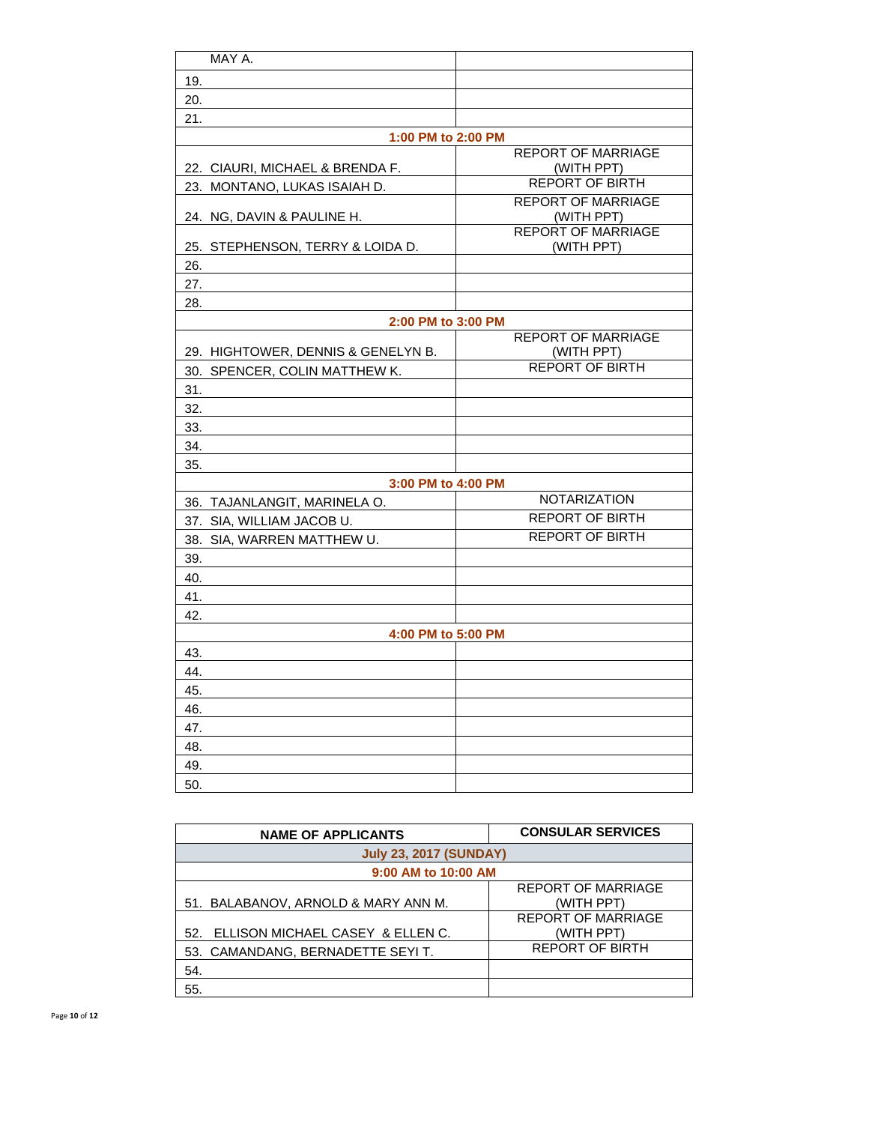| MAY A.                             |                                         |
|------------------------------------|-----------------------------------------|
| 19.                                |                                         |
| 20.                                |                                         |
| 21.                                |                                         |
| 1:00 PM to 2:00 PM                 |                                         |
| 22. CIAURI, MICHAEL & BRENDA F.    | <b>REPORT OF MARRIAGE</b><br>(WITH PPT) |
| 23. MONTANO, LUKAS ISAIAH D.       | <b>REPORT OF BIRTH</b>                  |
| 24. NG, DAVIN & PAULINE H.         | <b>REPORT OF MARRIAGE</b><br>(WITH PPT) |
| 25. STEPHENSON, TERRY & LOIDA D.   | <b>REPORT OF MARRIAGE</b><br>(WITH PPT) |
| 26.                                |                                         |
| 27.                                |                                         |
| 28.                                |                                         |
| 2:00 PM to 3:00 PM                 |                                         |
| 29. HIGHTOWER, DENNIS & GENELYN B. | <b>REPORT OF MARRIAGE</b><br>(WITH PPT) |
| 30. SPENCER, COLIN MATTHEW K.      | <b>REPORT OF BIRTH</b>                  |
| 31.                                |                                         |
| 32.                                |                                         |
| 33.                                |                                         |
| 34.                                |                                         |
| 35.                                |                                         |
| 3:00 PM to 4:00 PM                 |                                         |
| 36. TAJANLANGIT, MARINELA O.       | <b>NOTARIZATION</b>                     |
| 37. SIA, WILLIAM JACOB U.          | <b>REPORT OF BIRTH</b>                  |
| 38. SIA, WARREN MATTHEW U.         | <b>REPORT OF BIRTH</b>                  |
| 39.                                |                                         |
| 40.                                |                                         |
| 41.                                |                                         |
| 42.                                |                                         |
| 4:00 PM to 5:00 PM                 |                                         |
| 43.                                |                                         |
| 44.                                |                                         |
| 45.                                |                                         |
| 46.                                |                                         |
| 47.                                |                                         |
| 48.                                |                                         |
| 49.                                |                                         |
| 50.                                |                                         |
|                                    |                                         |

| <b>NAME OF APPLICANTS</b>            | <b>CONSULAR SERVICES</b>  |  |
|--------------------------------------|---------------------------|--|
| <b>July 23, 2017 (SUNDAY)</b>        |                           |  |
| 9:00 AM to 10:00 AM                  |                           |  |
|                                      | <b>REPORT OF MARRIAGE</b> |  |
| 51. BALABANOV, ARNOLD & MARY ANN M.  | (WITH PPT)                |  |
|                                      | <b>REPORT OF MARRIAGE</b> |  |
| 52. ELLISON MICHAEL CASEY & ELLEN C. | (WITH PPT)                |  |
| 53. CAMANDANG, BERNADETTE SEYIT.     | <b>REPORT OF BIRTH</b>    |  |
| 54.                                  |                           |  |
| 55.                                  |                           |  |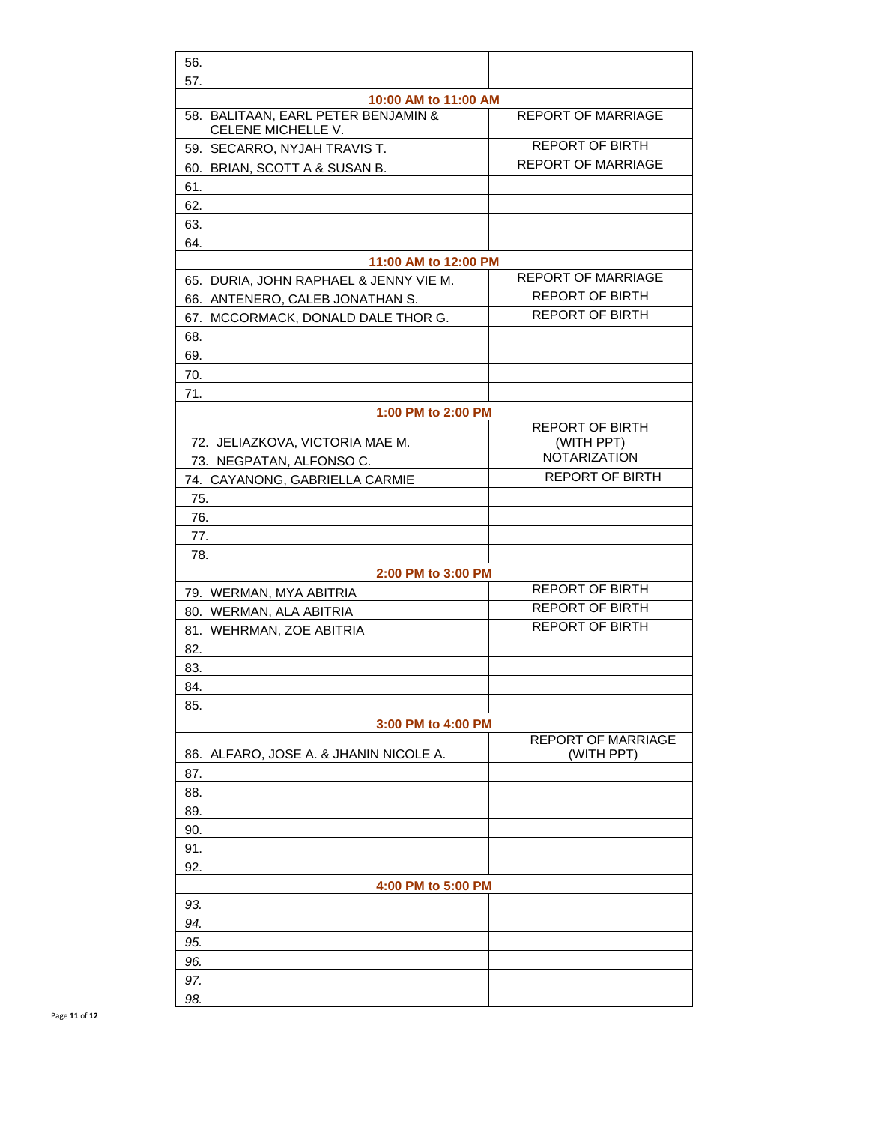| 56.                                                       |                                         |
|-----------------------------------------------------------|-----------------------------------------|
| 57.                                                       |                                         |
| 10:00 AM to 11:00 AM                                      |                                         |
| 58. BALITAAN, EARL PETER BENJAMIN &<br>CELENE MICHELLE V. | <b>REPORT OF MARRIAGE</b>               |
| 59. SECARRO, NYJAH TRAVIS T.                              | <b>REPORT OF BIRTH</b>                  |
| 60. BRIAN, SCOTT A & SUSAN B.                             | <b>REPORT OF MARRIAGE</b>               |
| 61.                                                       |                                         |
| 62.                                                       |                                         |
| 63.                                                       |                                         |
| 64.                                                       |                                         |
| 11:00 AM to 12:00 PM                                      |                                         |
| 65. DURIA, JOHN RAPHAEL & JENNY VIE M.                    | <b>REPORT OF MARRIAGE</b>               |
| 66. ANTENERO, CALEB JONATHAN S.                           | <b>REPORT OF BIRTH</b>                  |
| 67. MCCORMACK, DONALD DALE THOR G.                        | <b>REPORT OF BIRTH</b>                  |
| 68.                                                       |                                         |
| 69.                                                       |                                         |
| 70.                                                       |                                         |
| 71.                                                       |                                         |
| 1:00 PM to 2:00 PM                                        |                                         |
|                                                           | <b>REPORT OF BIRTH</b>                  |
| 72. JELIAZKOVA, VICTORIA MAE M.                           | (WITH PPT)<br><b>NOTARIZATION</b>       |
| 73. NEGPATAN, ALFONSO C.                                  |                                         |
| 74. CAYANONG, GABRIELLA CARMIE                            | <b>REPORT OF BIRTH</b>                  |
| 75.                                                       |                                         |
| 76.                                                       |                                         |
| 77.                                                       |                                         |
| 78.                                                       |                                         |
| 2:00 PM to 3:00 PM                                        | <b>REPORT OF BIRTH</b>                  |
| 79. WERMAN, MYA ABITRIA                                   | <b>REPORT OF BIRTH</b>                  |
| 80. WERMAN, ALA ABITRIA                                   |                                         |
| 81. WEHRMAN, ZOE ABITRIA                                  | <b>REPORT OF BIRTH</b>                  |
| 82.                                                       |                                         |
| 83.                                                       |                                         |
| 84.                                                       |                                         |
| 85.                                                       |                                         |
| 3:00 PM to 4:00 PM                                        |                                         |
| 86. ALFARO, JOSE A. & JHANIN NICOLE A.                    | <b>REPORT OF MARRIAGE</b><br>(WITH PPT) |
| 87.                                                       |                                         |
| 88.                                                       |                                         |
| 89.                                                       |                                         |
| 90.                                                       |                                         |
| 91.                                                       |                                         |
| 92.                                                       |                                         |
| 4:00 PM to 5:00 PM                                        |                                         |
| 93.                                                       |                                         |
| 94.                                                       |                                         |
| 95.                                                       |                                         |
| 96.                                                       |                                         |
| 97.                                                       |                                         |
| 98.                                                       |                                         |
|                                                           |                                         |